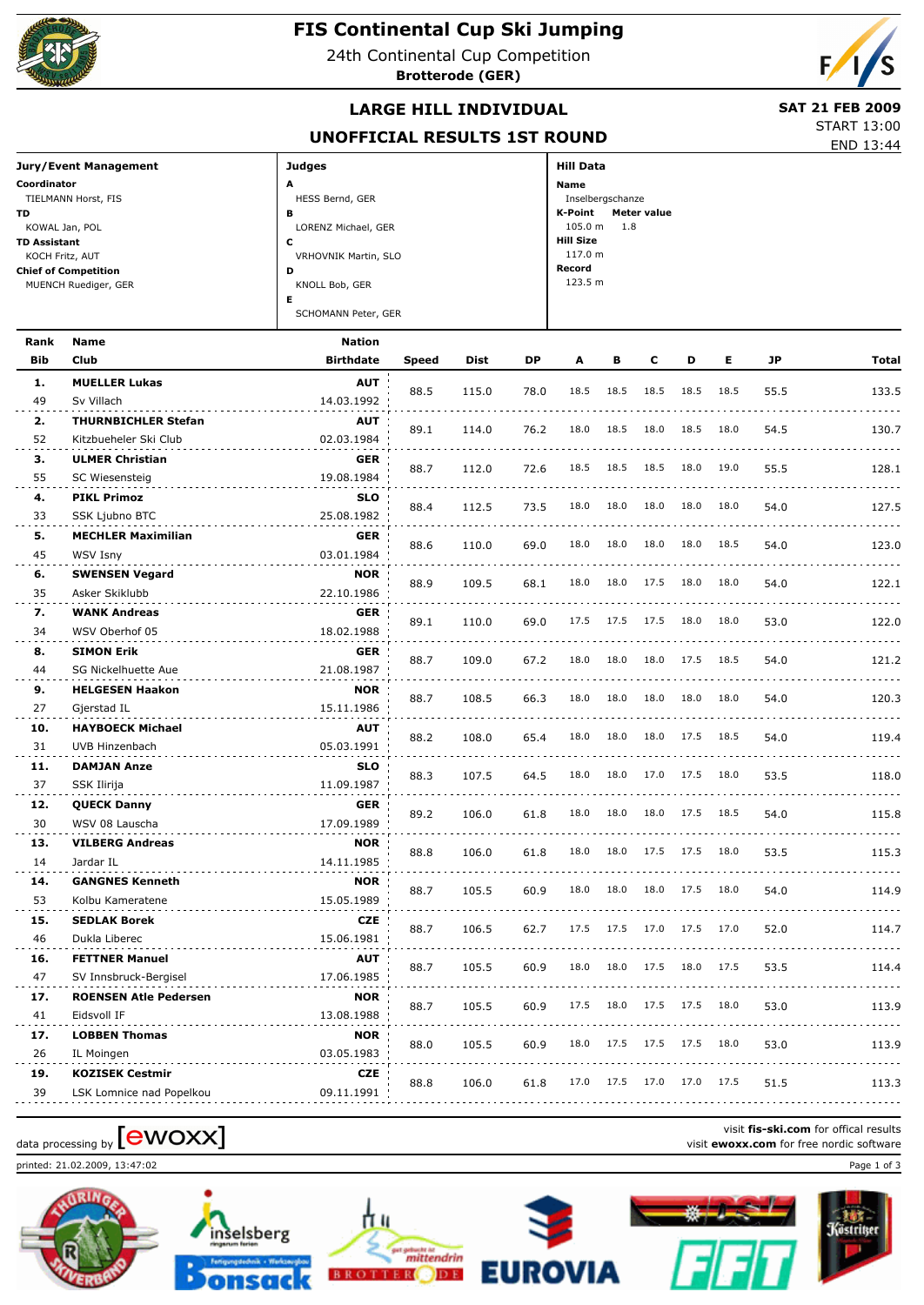

# **FIS Continental Cup Ski Jumping**

24th Continental Cup Competition

**Brotterode (GER)**



# **LARGE HILL INDIVIDUAL** SAT 21 FEB 2009

END 13:44 START 13:00

|                              | <b>DIAR</b> |
|------------------------------|-------------|
| UNOFFICIAL RESULTS 1ST ROUND |             |

| Jury/Event Management       | <b>Judges</b>        | <b>Hill Data</b>              |
|-----------------------------|----------------------|-------------------------------|
| Coordinator                 | A                    | Name                          |
| TIELMANN Horst, FIS         | HESS Bernd, GER      | Inselbergschanze              |
| <b>TD</b>                   | в                    | K-Point<br><b>Meter value</b> |
| KOWAL Jan, POL              | LORENZ Michael, GER  | $105.0 m$ 1.8                 |
| <b>TD Assistant</b>         | J                    | <b>Hill Size</b>              |
| KOCH Fritz, AUT             | VRHOVNIK Martin, SLO | 117.0 m                       |
| <b>Chief of Competition</b> | D                    | Record                        |
| MUENCH Ruediger, GER        | KNOLL Bob, GER       | 123.5 m                       |
|                             | Е                    |                               |
|                             | SCHOMANN Peter, GER  |                               |

| Rank      | <b>Name</b>                          | <b>Nation</b>            |              |       |      |      |      |      |      |      |      |          |
|-----------|--------------------------------------|--------------------------|--------------|-------|------|------|------|------|------|------|------|----------|
| Bib       | Club                                 | <b>Birthdate</b>         | <b>Speed</b> | Dist  | DΡ   | A    | в    | c    | D    | Е    | JP   | Total    |
| 1.        | <b>MUELLER Lukas</b>                 | <b>AUT</b>               | 88.5         | 115.0 | 78.0 | 18.5 | 18.5 | 18.5 | 18.5 | 18.5 | 55.5 | 133.5    |
| 49        | Sv Villach                           | 14.03.1992               |              |       |      |      |      |      |      |      |      |          |
| 2.        | <b>THURNBICHLER Stefan</b>           | <b>AUT</b>               | 89.1         | 114.0 | 76.2 | 18.0 | 18.5 | 18.0 | 18.5 | 18.0 | 54.5 | 130.7    |
| 52        | Kitzbueheler Ski Club                | 02.03.1984               |              |       |      |      |      |      |      |      |      | <u>.</u> |
| 3.        | <b>ULMER Christian</b>               | <b>GER</b>               | 88.7         | 112.0 | 72.6 | 18.5 | 18.5 | 18.5 | 18.0 | 19.0 | 55.5 | 128.1    |
| 55        | SC Wiesensteig                       | 19.08.1984               |              |       |      |      |      |      |      |      |      |          |
| 4.        | <b>PIKL Primoz</b>                   | <b>SLO</b>               | 88.4         | 112.5 | 73.5 | 18.0 | 18.0 | 18.0 | 18.0 | 18.0 | 54.0 | 127.5    |
| 33        | SSK Ljubno BTC                       | 25.08.1982               |              |       |      |      |      |      |      |      |      |          |
| 5.        | <b>MECHLER Maximilian</b>            | <b>GER</b>               | 88.6         | 110.0 | 69.0 | 18.0 | 18.0 | 18.0 | 18.0 | 18.5 | 54.0 | 123.0    |
| 45        | WSV Isny                             | 03.01.1984               |              |       |      |      |      |      |      |      |      |          |
| 6.        | <b>SWENSEN Vegard</b>                | <b>NOR</b>               | 88.9         | 109.5 | 68.1 | 18.0 | 18.0 | 17.5 | 18.0 | 18.0 | 54.0 | 122.1    |
| 35        | Asker Skiklubb                       | 22.10.1986               |              |       |      |      |      |      |      |      |      |          |
| 7.        | <b>WANK Andreas</b>                  | <b>GER</b>               | 89.1         | 110.0 | 69.0 | 17.5 | 17.5 | 17.5 | 18.0 | 18.0 | 53.0 | 122.0    |
| 34        | WSV Oberhof 05                       | 18.02.1988               |              |       |      |      |      |      |      |      |      |          |
| 8.        | <b>SIMON Erik</b>                    | <b>GER</b>               | 88.7         | 109.0 | 67.2 | 18.0 | 18.0 | 18.0 | 17.5 | 18.5 | 54.0 | 121.2    |
| 44        | SG Nickelhuette Aue                  | 21.08.1987               |              |       |      |      |      |      |      |      |      |          |
| 9.        | <b>HELGESEN Haakon</b>               | <b>NOR</b>               | 88.7         | 108.5 | 66.3 | 18.0 | 18.0 | 18.0 | 18.0 | 18.0 | 54.0 | 120.3    |
| 27        | Gjerstad IL                          | 15.11.1986               |              |       |      |      |      |      |      |      |      |          |
| 10.       | <b>HAYBOECK Michael</b>              | <b>AUT</b>               | 88.2         | 108.0 | 65.4 | 18.0 | 18.0 | 18.0 | 17.5 | 18.5 | 54.0 | 119.4    |
| 31        | UVB Hinzenbach                       | 05.03.1991               |              |       |      |      |      |      |      |      |      |          |
| 11.       | <b>DAMJAN Anze</b>                   | <b>SLO</b>               | 88.3         | 107.5 | 64.5 | 18.0 | 18.0 | 17.0 | 17.5 | 18.0 | 53.5 | 118.0    |
| 37        | SSK Ilirija                          | 11.09.1987               |              |       |      |      |      |      |      |      |      |          |
| 12.<br>30 | <b>QUECK Danny</b><br>WSV 08 Lauscha | <b>GER</b><br>17.09.1989 | 89.2         | 106.0 | 61.8 | 18.0 | 18.0 | 18.0 | 17.5 | 18.5 | 54.0 | 115.8    |
| 13.       | <b>VILBERG Andreas</b>               | <b>NOR</b>               |              |       |      |      |      |      |      |      |      |          |
| 14        | Jardar IL                            | 14.11.1985               | 88.8         | 106.0 | 61.8 | 18.0 | 18.0 | 17.5 | 17.5 | 18.0 | 53.5 | 115.3    |
| 14.       | <b>GANGNES Kenneth</b>               | <b>NOR</b>               |              |       |      |      |      |      |      |      |      |          |
| 53        | Kolbu Kameratene                     | 15.05.1989               | 88.7         | 105.5 | 60.9 | 18.0 | 18.0 | 18.0 | 17.5 | 18.0 | 54.0 | 114.9    |
| 15.       | <b>SEDLAK Borek</b>                  | <b>CZE</b>               |              |       |      |      |      |      |      |      |      |          |
| 46        | Dukla Liberec                        | 15.06.1981               | 88.7         | 106.5 | 62.7 | 17.5 | 17.5 | 17.0 | 17.5 | 17.0 | 52.0 | 114.7    |
| 16.       | <b>FETTNER Manuel</b>                | <b>AUT</b>               |              |       |      |      |      |      |      |      |      |          |
| 47        | SV Innsbruck-Bergisel                | 17.06.1985               | 88.7         | 105.5 | 60.9 | 18.0 | 18.0 | 17.5 | 18.0 | 17.5 | 53.5 | 114.4    |
| 17.       | <b>ROENSEN Atle Pedersen</b>         | <b>NOR</b>               |              |       |      |      |      |      |      |      |      |          |
| 41        | Eidsvoll IF                          | 13.08.1988               | 88.7         | 105.5 | 60.9 | 17.5 | 18.0 | 17.5 | 17.5 | 18.0 | 53.0 | 113.9    |
| 17.       | <b>LOBBEN Thomas</b>                 | <b>NOR</b>               |              |       |      |      |      |      |      |      |      |          |
| 26        | IL Moingen                           | 03.05.1983               | 88.0         | 105.5 | 60.9 | 18.0 | 17.5 | 17.5 | 17.5 | 18.0 | 53.0 | 113.9    |
| 19.       | <b>KOZISEK Cestmir</b>               | <b>CZE</b>               |              |       |      |      |      |      |      |      |      |          |
| 39        | LSK Lomnice nad Popelkou             | 09.11.1991               | 88.8         | 106.0 | 61.8 | 17.0 | 17.5 | 17.0 | 17.0 | 17.5 | 51.5 | 113.3    |
|           |                                      |                          |              |       |      |      |      |      |      |      |      |          |

printed: 21.02.2009, 13:47:02 Page 1 of 3





<u>ես</u>

visit **fis-ski.com** for offical results data processing by **CWOXX** at a processing by **a** visit **ewoxx.com** for offical results visit **ewoxx.com** for free nordic software



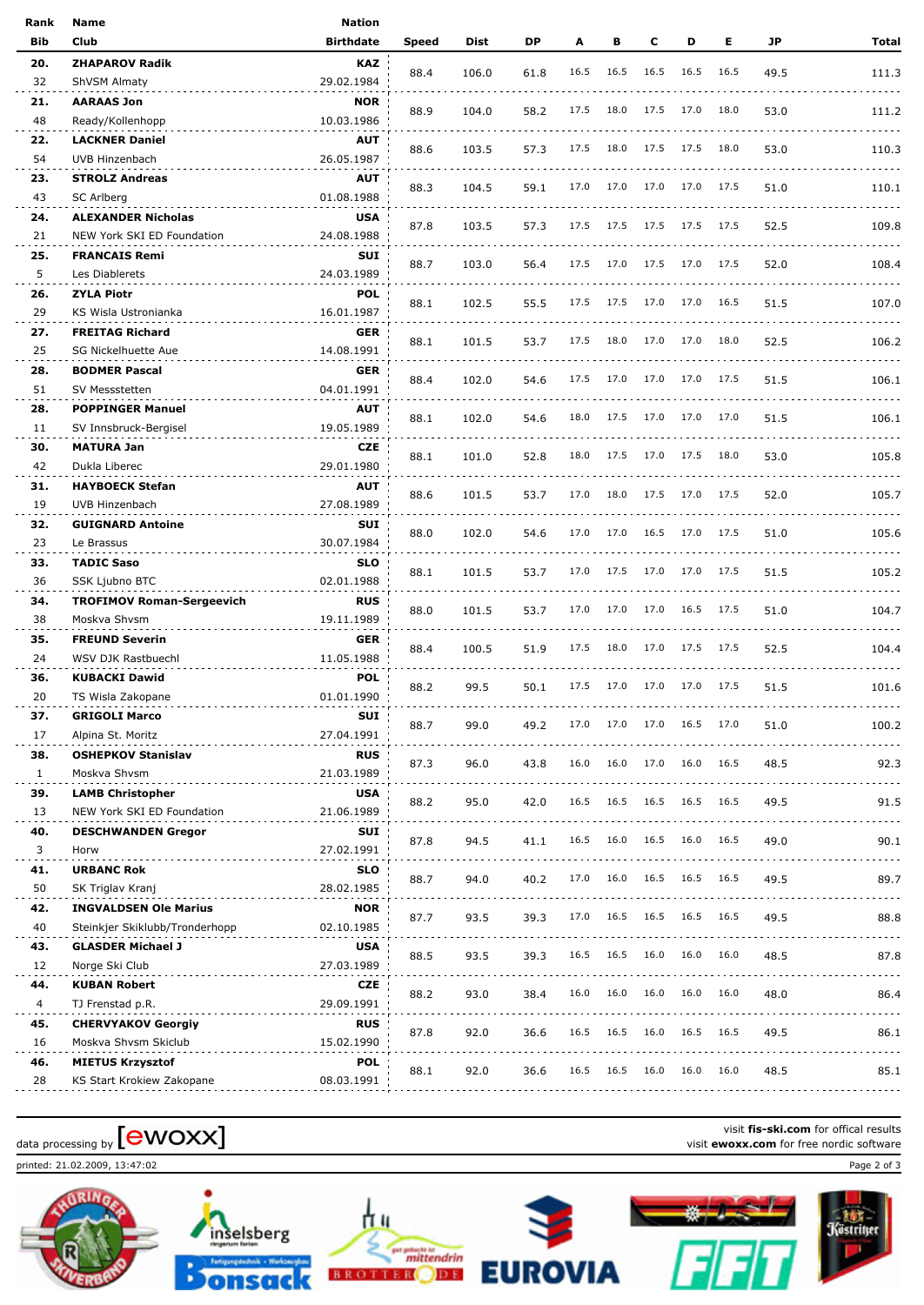| Rank         | Name                                      | <b>Nation</b>     |       |       |      |      |      |      |           |      |      |                                                                                                                           |
|--------------|-------------------------------------------|-------------------|-------|-------|------|------|------|------|-----------|------|------|---------------------------------------------------------------------------------------------------------------------------|
| Bib          | <b>Club</b>                               | <b>Birthdate</b>  | Speed | Dist  | DP   | A    | в    | с    | D         | Е    | JP   | Total                                                                                                                     |
| 20.          | <b>ZHAPAROV Radik</b>                     | <b>KAZ</b>        |       |       |      |      |      |      |           |      |      |                                                                                                                           |
| 32           | ShVSM Almaty                              | 29.02.1984        | 88.4  | 106.0 | 61.8 | 16.5 | 16.5 | 16.5 | 16.5      | 16.5 | 49.5 | 111.3                                                                                                                     |
| 21.          | AARAAS Jon                                | <b>NOR</b>        |       |       |      |      |      |      |           |      |      |                                                                                                                           |
| 48           | Ready/Kollenhopp                          | 10.03.1986        | 88.9  | 104.0 | 58.2 | 17.5 | 18.0 | 17.5 | 17.0      | 18.0 | 53.0 | 111.2                                                                                                                     |
| 22.          | <b>LACKNER Daniel</b>                     | <b>AUT</b>        |       |       |      |      |      |      |           |      |      |                                                                                                                           |
| 54           | UVB Hinzenbach                            | 26.05.1987        | 88.6  | 103.5 | 57.3 | 17.5 | 18.0 | 17.5 | 17.5      | 18.0 | 53.0 | 110.3                                                                                                                     |
| 23.          | <b>STROLZ Andreas</b>                     | <b>AUT</b>        |       |       |      |      |      |      |           |      |      |                                                                                                                           |
| 43           | SC Arlberg                                | 01.08.1988        | 88.3  | 104.5 | 59.1 | 17.0 | 17.0 | 17.0 | 17.0 17.5 |      | 51.0 | 110.1                                                                                                                     |
| 24.          | <b>ALEXANDER Nicholas</b>                 | <b>USA</b>        |       |       |      |      |      |      |           |      |      |                                                                                                                           |
| 21           | NEW York SKI ED Foundation                | 24.08.1988        | 87.8  | 103.5 | 57.3 | 17.5 | 17.5 | 17.5 | 17.5 17.5 |      | 52.5 | 109.8                                                                                                                     |
| 25.          | <b>FRANCAIS Remi</b>                      | SUI               |       |       |      |      |      |      |           |      |      |                                                                                                                           |
| 5            | Les Diablerets                            | 24.03.1989        | 88.7  | 103.0 | 56.4 | 17.5 | 17.0 | 17.5 | 17.0 17.5 |      | 52.0 | 108.4                                                                                                                     |
| 26.          | <b>ZYLA Piotr</b>                         | <b>POL</b>        |       |       |      |      |      |      |           |      |      |                                                                                                                           |
| 29           | KS Wisla Ustronianka                      | 16.01.1987        | 88.1  | 102.5 | 55.5 | 17.5 | 17.5 | 17.0 | 17.0      | 16.5 | 51.5 | 107.0                                                                                                                     |
| 27.          | <b>FREITAG Richard</b>                    | <b>GER</b>        |       |       |      |      |      |      |           |      |      |                                                                                                                           |
| 25           | <b>SG Nickelhuette Aue</b>                | 14.08.1991        | 88.1  | 101.5 | 53.7 | 17.5 | 18.0 | 17.0 | 17.0      | 18.0 | 52.5 | 106.2                                                                                                                     |
| 28.          | <b>BODMER Pascal</b>                      | <b>GER</b>        |       |       |      |      |      |      |           |      |      |                                                                                                                           |
| 51           | SV Messstetten                            | 04.01.1991        | 88.4  | 102.0 | 54.6 | 17.5 | 17.0 | 17.0 | 17.0      | 17.5 | 51.5 | 106.1                                                                                                                     |
| 28.          | <b>POPPINGER Manuel</b>                   | <b>AUT</b>        |       |       |      |      |      |      |           |      |      |                                                                                                                           |
| 11           | SV Innsbruck-Bergisel                     | 19.05.1989        | 88.1  | 102.0 | 54.6 | 18.0 | 17.5 | 17.0 | 17.0      | 17.0 | 51.5 | 106.1                                                                                                                     |
| 30.          | <b>MATURA Jan</b>                         | <b>CZE</b>        |       |       |      |      |      |      |           |      |      |                                                                                                                           |
| 42           | Dukla Liberec                             | 29.01.1980        | 88.1  | 101.0 | 52.8 | 18.0 | 17.5 | 17.0 | 17.5      | 18.0 | 53.0 | 105.8                                                                                                                     |
| 31.          | <b>HAYBOECK Stefan</b>                    | <b>AUT</b>        |       |       |      |      |      |      |           |      |      |                                                                                                                           |
| 19           | UVB Hinzenbach                            | 27.08.1989        | 88.6  | 101.5 | 53.7 | 17.0 | 18.0 | 17.5 | 17.0      | 17.5 | 52.0 | 105.7                                                                                                                     |
| 32.          | <b>GUIGNARD Antoine</b>                   | <b>SUI</b>        |       |       |      |      |      |      |           |      |      |                                                                                                                           |
| 23           | Le Brassus                                | 30.07.1984        | 88.0  | 102.0 | 54.6 | 17.0 | 17.0 | 16.5 | 17.0      | 17.5 | 51.0 | 105.6                                                                                                                     |
| 33.          | <b>TADIC Saso</b>                         | <b>SLO</b>        |       |       |      |      |      |      |           |      |      |                                                                                                                           |
| 36           | SSK Ljubno BTC                            | 02.01.1988        | 88.1  | 101.5 | 53.7 | 17.0 | 17.5 | 17.0 | 17.0      | 17.5 | 51.5 | 105.2                                                                                                                     |
| 34.          | <b>TROFIMOV Roman-Sergeevich</b>          | <b>RUS</b>        |       |       |      |      |      |      |           |      |      |                                                                                                                           |
| 38           | Moskva Shvsm                              | 19.11.1989        | 88.0  | 101.5 | 53.7 | 17.0 | 17.0 | 17.0 | 16.5      | 17.5 | 51.0 | 104.7                                                                                                                     |
| 35.          | <b>FREUND Severin</b>                     | <b>GER</b>        |       |       |      |      |      |      |           |      |      |                                                                                                                           |
| 24           | WSV DJK Rastbuechl                        | 11.05.1988        | 88.4  | 100.5 | 51.9 | 17.5 | 18.0 | 17.0 | 17.5      | 17.5 | 52.5 | 104.4                                                                                                                     |
| 36.          | <b>KUBACKI Dawid</b>                      | <b>POL</b>        |       |       |      |      |      |      |           |      |      |                                                                                                                           |
| 20           | TS Wisla Zakopane                         | 01.01.1990        | 88.2  | 99.5  | 50.1 | 17.5 | 17.0 | 17.0 | 17.0      | 17.5 | 51.5 | 101.6                                                                                                                     |
|              |                                           |                   |       |       |      |      |      |      |           |      |      |                                                                                                                           |
| 37.<br>17    | <b>GRIGOLI Marco</b><br>Alpina St. Moritz | SUI<br>27.04.1991 | 88.7  | 99.0  | 49.2 | 17.0 | 17.0 | 17.0 | 16.5      | 17.0 | 51.0 | 100.2                                                                                                                     |
| 38.          | <b>OSHEPKOV Stanislav</b>                 | <b>RUS</b>        |       |       |      |      |      |      |           |      |      |                                                                                                                           |
| $\mathbf{1}$ | Moskva Shvsm                              | 21.03.1989        | 87.3  | 96.0  | 43.8 | 16.0 | 16.0 | 17.0 | 16.0      | 16.5 | 48.5 | 92.3                                                                                                                      |
| 39.          | <b>LAMB Christopher</b>                   | <b>USA</b>        |       |       |      |      |      |      |           |      |      |                                                                                                                           |
| 13           | NEW York SKI ED Foundation                | 21.06.1989        | 88.2  | 95.0  | 42.0 | 16.5 | 16.5 | 16.5 | 16.5      | 16.5 | 49.5 | 91.5                                                                                                                      |
|              |                                           |                   |       |       |      |      |      |      |           |      |      | المتمام المتم                                                                                                             |
| 40.<br>3     | <b>DESCHWANDEN Gregor</b><br>Horw         | SUI<br>27.02.1991 | 87.8  | 94.5  | 41.1 | 16.5 | 16.0 | 16.5 | 16.0      | 16.5 | 49.0 | 90.1                                                                                                                      |
|              |                                           |                   |       |       |      |      |      |      |           |      |      |                                                                                                                           |
| 41.          | <b>URBANC Rok</b>                         | <b>SLO</b>        | 88.7  | 94.0  | 40.2 | 17.0 | 16.0 | 16.5 | 16.5      | 16.5 | 49.5 | 89.7                                                                                                                      |
| 50           | SK Triglav Kranj                          | 28.02.1985        |       |       |      |      |      |      |           |      |      | $\frac{1}{2} \left( \frac{1}{2} \right) \left( \frac{1}{2} \right) \left( \frac{1}{2} \right) \left( \frac{1}{2} \right)$ |
| 42.          | <b>INGVALDSEN Ole Marius</b>              | <b>NOR</b>        | 87.7  | 93.5  | 39.3 | 17.0 | 16.5 | 16.5 | 16.5      | 16.5 | 49.5 | 88.8                                                                                                                      |
| 40           | Steinkjer Skiklubb/Tronderhopp            | 02.10.1985        |       |       |      |      |      |      |           |      |      |                                                                                                                           |
| 43.          | <b>GLASDER Michael J</b>                  | <b>USA</b>        | 88.5  | 93.5  | 39.3 | 16.5 | 16.5 | 16.0 | 16.0      | 16.0 | 48.5 | 87.8                                                                                                                      |
| 12           | Norge Ski Club                            | 27.03.1989        |       |       |      |      |      |      |           |      |      |                                                                                                                           |
| 44.          | <b>KUBAN Robert</b>                       | CZE               | 88.2  | 93.0  | 38.4 | 16.0 | 16.0 | 16.0 | 16.0      | 16.0 | 48.0 | 86.4                                                                                                                      |
| 4            | TJ Frenstad p.R.                          | 29.09.1991        |       |       |      |      |      |      |           |      |      |                                                                                                                           |
| 45.          | <b>CHERVYAKOV Georgiy</b>                 | <b>RUS</b>        | 87.8  | 92.0  | 36.6 | 16.5 | 16.5 | 16.0 | 16.5      | 16.5 | 49.5 | 86.1                                                                                                                      |
| 16           | Moskva Shvsm Skiclub                      | 15.02.1990        |       |       |      |      |      |      |           |      |      |                                                                                                                           |
| 46.          | <b>MIETUS Krzysztof</b>                   | <b>POL</b>        | 88.1  | 92.0  | 36.6 | 16.5 | 16.5 | 16.0 | 16.0      | 16.0 | 48.5 | 85.1                                                                                                                      |
| 28           | KS Start Krokiew Zakopane                 | 08.03.1991        |       |       |      |      |      |      |           |      |      |                                                                                                                           |

printed: 21.02.2009, 13:47:02 Page 2 of 3





血 gat gebuite ist<br>mittendrin **BROTTER** DE



visit **fis-ski.com** for offical results data processing by **CWOXX** Next Compared at a processing by **CWOXX** Visit **ewoxx.com** for offical results